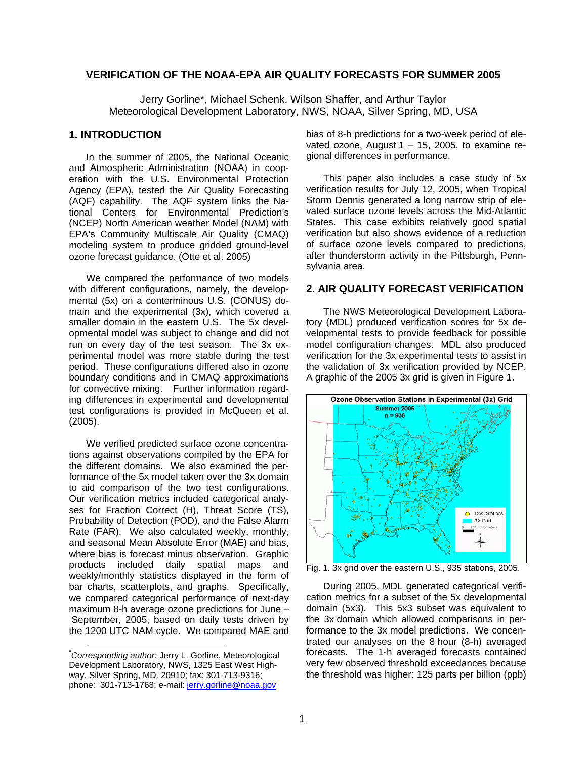# **VERIFICATION OF THE NOAA-EPA AIR QUALITY FORECASTS FOR SUMMER 2005**

Jerry Gorline\*, Michael Schenk, Wilson Shaffer, and Arthur Taylor Meteorological Development Laboratory, NWS, NOAA, Silver Spring, MD, USA

## **1. INTRODUCTION**

In the summer of 2005, the National Oceanic and Atmospheric Administration (NOAA) in cooperation with the U.S. Environmental Protection Agency (EPA), tested the Air Quality Forecasting (AQF) capability. The AQF system links the National Centers for Environmental Prediction's (NCEP) North American weather Model (NAM) with EPA's Community Multiscale Air Quality (CMAQ) modeling system to produce gridded ground-level ozone forecast guidance. (Otte et al. 2005)

We compared the performance of two models with different configurations, namely, the developmental (5x) on a conterminous U.S. (CONUS) domain and the experimental (3x), which covered a smaller domain in the eastern U.S. The 5x developmental model was subject to change and did not run on every day of the test season. The 3x experimental model was more stable during the test period. These configurations differed also in ozone boundary conditions and in CMAQ approximations for convective mixing. Further information regarding differences in experimental and developmental test configurations is provided in McQueen et al. (2005).

We verified predicted surface ozone concentrations against observations compiled by the EPA for the different domains. We also examined the performance of the 5x model taken over the 3x domain to aid comparison of the two test configurations. Our verification metrics included categorical analyses for Fraction Correct (H), Threat Score (TS), Probability of Detection (POD), and the False Alarm Rate (FAR). We also calculated weekly, monthly, and seasonal Mean Absolute Error (MAE) and bias, where bias is forecast minus observation. Graphic products included daily spatial maps and weekly/monthly statistics displayed in the form of bar charts, scatterplots, and graphs. Specifically, we compared categorical performance of next-day maximum 8-h average ozone predictions for June – September, 2005, based on daily tests driven by the 1200 UTC NAM cycle. We compared MAE and bias of 8-h predictions for a two-week period of elevated ozone, August  $1 - 15$ , 2005, to examine regional differences in performance.

This paper also includes a case study of 5x verification results for July 12, 2005, when Tropical Storm Dennis generated a long narrow strip of elevated surface ozone levels across the Mid-Atlantic States. This case exhibits relatively good spatial verification but also shows evidence of a reduction of surface ozone levels compared to predictions, after thunderstorm activity in the Pittsburgh, Pennsylvania area.

## **2. AIR QUALITY FORECAST VERIFICATION**

The NWS Meteorological Development Laboratory (MDL) produced verification scores for 5x developmental tests to provide feedback for possible model configuration changes. MDL also produced verification for the 3x experimental tests to assist in the validation of 3x verification provided by NCEP. A graphic of the 2005 3x grid is given in Figure 1.



Fig. 1. 3x grid over the eastern U.S., 935 stations, 2005.

During 2005, MDL generated categorical verification metrics for a subset of the 5x developmental domain (5x3). This 5x3 subset was equivalent to the 3x domain which allowed comparisons in performance to the 3x model predictions. We concentrated our analyses on the 8 hour (8-h) averaged forecasts. The 1-h averaged forecasts contained very few observed threshold exceedances because the threshold was higher: 125 parts per billion (ppb)

 <sup>\*</sup> *Corresponding author:* Jerry L. Gorline, Meteorological Development Laboratory, NWS, 1325 East West Highway, Silver Spring, MD. 20910; fax: 301-713-9316; phone: 301-713-1768; e-mail: jerry.gorline@noaa.gov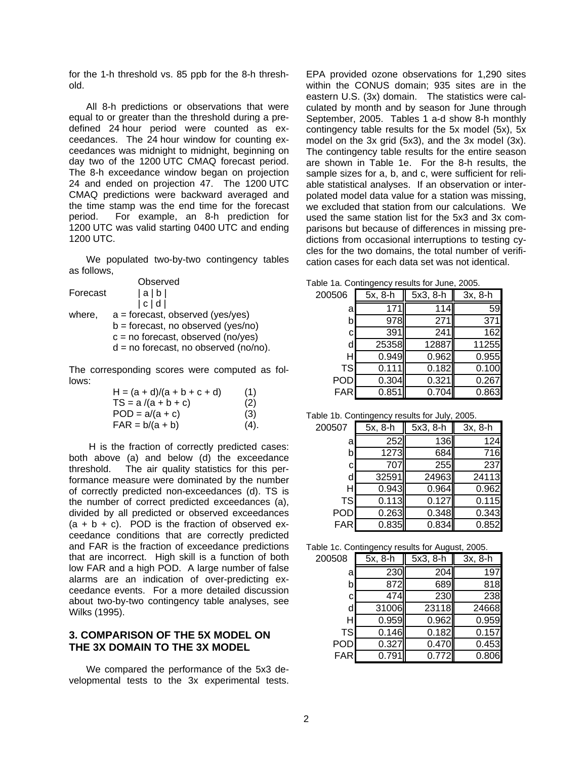for the 1-h threshold vs. 85 ppb for the 8-h threshold.

All 8-h predictions or observations that were equal to or greater than the threshold during a predefined 24 hour period were counted as exceedances. The 24 hour window for counting exceedances was midnight to midnight, beginning on day two of the 1200 UTC CMAQ forecast period. The 8-h exceedance window began on projection 24 and ended on projection 47. The 1200 UTC CMAQ predictions were backward averaged and the time stamp was the end time for the forecast period. For example, an 8-h prediction for 1200 UTC was valid starting 0400 UTC and ending 1200 UTC.

We populated two-by-two contingency tables as follows,

|          | Observed                                |
|----------|-----------------------------------------|
| Forecast | a b                                     |
|          | c d                                     |
| where,   | $a =$ forecast, observed (yes/yes)      |
|          | $b =$ forecast, no observed (yes/no)    |
|          | $c = no$ forecast, observed (no/yes)    |
|          | $d = no$ forecast, no observed (no/no). |
|          |                                         |

The corresponding scores were computed as follows:

| $H = (a + d)/(a + b + c + d)$ | (1)  |
|-------------------------------|------|
| $TS = a/(a + b + c)$          | (2)  |
| $POD = a/(a + c)$             | (3)  |
| $FAR = b/(a + b)$             | (4). |

 H is the fraction of correctly predicted cases: both above (a) and below (d) the exceedance threshold. The air quality statistics for this performance measure were dominated by the number of correctly predicted non-exceedances (d). TS is the number of correct predicted exceedances (a), divided by all predicted or observed exceedances  $(a + b + c)$ . POD is the fraction of observed exceedance conditions that are correctly predicted and FAR is the fraction of exceedance predictions that are incorrect. High skill is a function of both low FAR and a high POD. A large number of false alarms are an indication of over-predicting exceedance events. For a more detailed discussion about two-by-two contingency table analyses, see Wilks (1995).

### **3. COMPARISON OF THE 5X MODEL ON THE 3X DOMAIN TO THE 3X MODEL**

We compared the performance of the 5x3 developmental tests to the 3x experimental tests.

EPA provided ozone observations for 1,290 sites within the CONUS domain; 935 sites are in the eastern U.S. (3x) domain. The statistics were calculated by month and by season for June through September, 2005. Tables 1 a-d show 8-h monthly contingency table results for the 5x model (5x), 5x model on the 3x grid (5x3), and the 3x model (3x). The contingency table results for the entire season are shown in Table 1e. For the 8-h results, the sample sizes for a, b, and c, were sufficient for reliable statistical analyses. If an observation or interpolated model data value for a station was missing, we excluded that station from our calculations. We used the same station list for the 5x3 and 3x comparisons but because of differences in missing predictions from occasional interruptions to testing cycles for the two domains, the total number of verification cases for each data set was not identical.

Table 1a. Contingency results for June, 2005.

| bio Ta. Obtimigono, robano foi cano, 2000. |                     |       |         |  |  |
|--------------------------------------------|---------------------|-------|---------|--|--|
| 200506                                     | 5x3, 8-h<br>5x, 8-h |       | 3x, 8-h |  |  |
| a                                          | 171                 | 114   | 59      |  |  |
| b                                          | 978                 | 271   | 371     |  |  |
| C                                          | 391                 | 241   | 162     |  |  |
| d                                          | 25358               | 12887 | 11255   |  |  |
|                                            | 0.949               | 0.962 | 0.955   |  |  |
| <b>TS</b>                                  | 0.111               | 0.182 | 0.100   |  |  |
| POD                                        | 0.304               | 0.321 | 0.267   |  |  |
| FAR                                        | 0.851               | 0.704 | 0.863   |  |  |

Table 1b. Contingency results for July, 2005.

|            | ີ       | ,,,      |         |  |
|------------|---------|----------|---------|--|
| 200507     | 5x, 8-h | 5x3, 8-h | 3x, 8-h |  |
| а          | 252     | 136      | 124     |  |
| b          | 1273    | 684      | 716     |  |
| c          | 707     | 255      | 237     |  |
| d          | 32591   | 24963    | 24113   |  |
| н          | 0.943   | 0.964    | 0.962   |  |
| <b>TS</b>  | 0.113   | 0.127    | 0.115   |  |
| POD        | 0.263   | 0.348    | 0.343   |  |
| <b>FAR</b> | 0.835   | 0.834    | 0.852   |  |

Table 1c. Contingency results for August, 2005.

| Die TC. Contingency results für August, 2005. |                     |       |         |  |  |
|-----------------------------------------------|---------------------|-------|---------|--|--|
| 200508                                        | 5x3, 8-h<br>5x, 8-h |       | 3x, 8-h |  |  |
| а                                             | 230                 | 204   | 197     |  |  |
| b                                             | 872                 | 689   | 818     |  |  |
| с                                             | 474                 | 230   | 238     |  |  |
| d                                             | 31006               | 23118 | 24668   |  |  |
| н                                             | 0.959               | 0.962 | 0.959   |  |  |
| <b>TS</b>                                     | 0.146               | 0.182 | 0.157   |  |  |
| POD                                           | 0.327               | 0.470 | 0.453   |  |  |
| <b>FAR</b>                                    | 0.791               | 0.772 | 0.806   |  |  |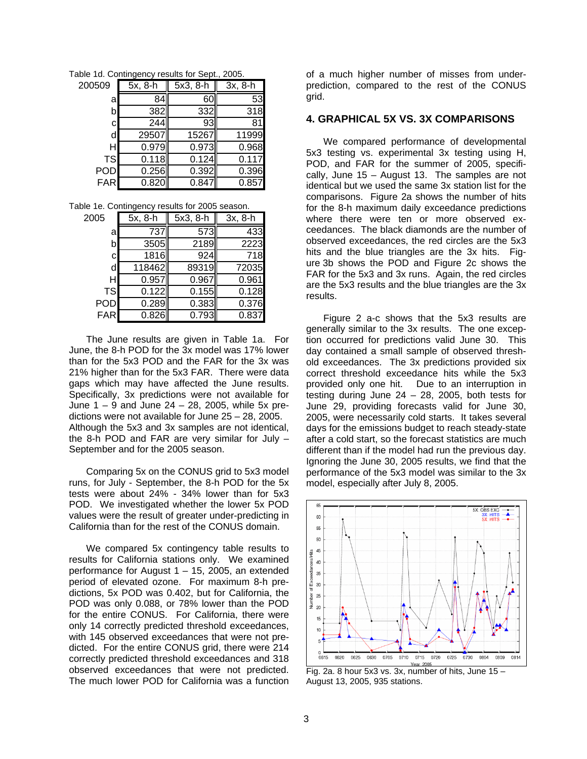Table 1d. Contingency results for Sept., 2005.

| 200509    | 5x, 8-h | 5x3, 8-h | 3x, 8-h |
|-----------|---------|----------|---------|
| a         | 84      | 60       | 53      |
| b         | 382     | 332      | 318     |
| С         | 244     | 93       | 81      |
| d         | 29507   | 15267    | 11999   |
|           | 0.979   | 0.973    | 0.968   |
| <b>TS</b> | 0.118   | 0.124    | 0.117   |
| POD       | 0.256   | 0.392    | 0.396   |
| FAR       | 0.820   | 0.847    | 0.857   |

Table 1e. Contingency results for 2005 season.

| 2005       | 5x, 8-h | 5x3, 8-h | 3x, 8-h |  |
|------------|---------|----------|---------|--|
| а          | 737     | 573      | 433     |  |
| b          | 3505    | 2189     | 2223    |  |
| с          | 1816    | 924      | 718     |  |
| d          | 118462  | 89319    | 72035   |  |
|            | 0.957   | 0.967    | 0.961   |  |
| <b>TS</b>  | 0.122   | 0.155    | 0.128   |  |
| <b>POD</b> | 0.289   | 0.383    | 0.376   |  |
| FAR        | 0.826   | 0.793    | 0.837   |  |

The June results are given in Table 1a. For June, the 8-h POD for the 3x model was 17% lower than for the 5x3 POD and the FAR for the 3x was 21% higher than for the 5x3 FAR. There were data gaps which may have affected the June results. Specifically, 3x predictions were not available for June  $1 - 9$  and June  $24 - 28$ , 2005, while 5x predictions were not available for June 25 – 28, 2005. Although the 5x3 and 3x samples are not identical, the 8-h POD and FAR are very similar for July – September and for the 2005 season.

Comparing 5x on the CONUS grid to 5x3 model runs, for July - September, the 8-h POD for the 5x tests were about 24% - 34% lower than for 5x3 POD. We investigated whether the lower 5x POD values were the result of greater under-predicting in California than for the rest of the CONUS domain.

We compared 5x contingency table results to results for California stations only. We examined performance for August 1 – 15, 2005, an extended period of elevated ozone. For maximum 8-h predictions, 5x POD was 0.402, but for California, the POD was only 0.088, or 78% lower than the POD for the entire CONUS. For California, there were only 14 correctly predicted threshold exceedances, with 145 observed exceedances that were not predicted. For the entire CONUS grid, there were 214 correctly predicted threshold exceedances and 318 observed exceedances that were not predicted. The much lower POD for California was a function

of a much higher number of misses from underprediction, compared to the rest of the CONUS grid.

#### **4. GRAPHICAL 5X VS. 3X COMPARISONS**

We compared performance of developmental 5x3 testing vs. experimental 3x testing using H, POD, and FAR for the summer of 2005, specifically, June 15 – August 13. The samples are not identical but we used the same 3x station list for the comparisons. Figure 2a shows the number of hits for the 8-h maximum daily exceedance predictions where there were ten or more observed exceedances. The black diamonds are the number of observed exceedances, the red circles are the 5x3 hits and the blue triangles are the 3x hits. Figure 3b shows the POD and Figure 2c shows the FAR for the 5x3 and 3x runs. Again, the red circles are the 5x3 results and the blue triangles are the 3x results.

Figure 2 a-c shows that the 5x3 results are generally similar to the 3x results. The one exception occurred for predictions valid June 30. This day contained a small sample of observed threshold exceedances. The 3x predictions provided six correct threshold exceedance hits while the 5x3 provided only one hit. Due to an interruption in testing during June  $24 - 28$ , 2005, both tests for June 29, providing forecasts valid for June 30, 2005, were necessarily cold starts. It takes several days for the emissions budget to reach steady-state after a cold start, so the forecast statistics are much different than if the model had run the previous day. Ignoring the June 30, 2005 results, we find that the performance of the 5x3 model was similar to the 3x model, especially after July 8, 2005.



Fig. 2a. 8 hour 5x3 vs. 3x, number of hits, June  $15 -$ August 13, 2005, 935 stations.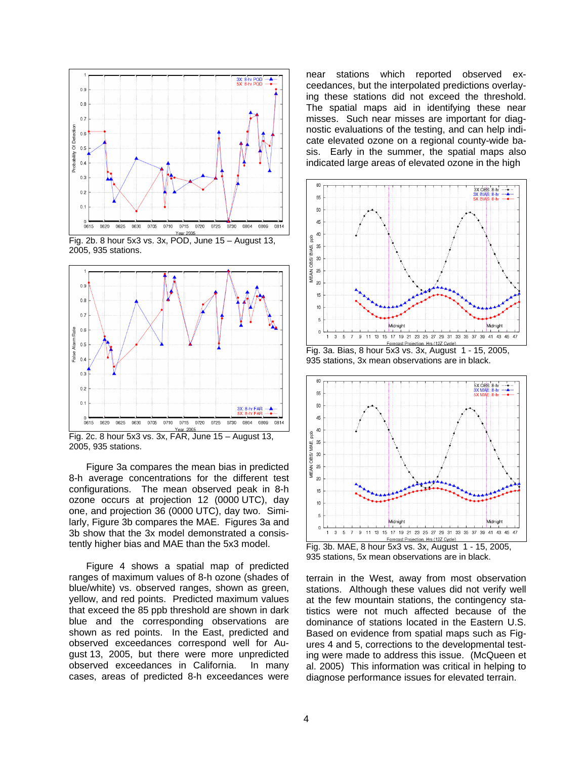

Fig. 2b. 8 hour 5x3 vs. 3x, POD, June 15 – August 13, 2005, 935 stations.



Fig. 2c. 8 hour 5x3 vs. 3x, FAR, June 15 – August 13, 2005, 935 stations.

Figure 3a compares the mean bias in predicted 8-h average concentrations for the different test configurations. The mean observed peak in 8-h ozone occurs at projection 12 (0000 UTC), day one, and projection 36 (0000 UTC), day two. Similarly, Figure 3b compares the MAE. Figures 3a and 3b show that the 3x model demonstrated a consistently higher bias and MAE than the 5x3 model.

Figure 4 shows a spatial map of predicted ranges of maximum values of 8-h ozone (shades of blue/white) vs. observed ranges, shown as green, yellow, and red points. Predicted maximum values that exceed the 85 ppb threshold are shown in dark blue and the corresponding observations are shown as red points. In the East, predicted and observed exceedances correspond well for August 13, 2005, but there were more unpredicted observed exceedances in California. In many cases, areas of predicted 8-h exceedances were

near stations which reported observed exceedances, but the interpolated predictions overlaying these stations did not exceed the threshold. The spatial maps aid in identifying these near misses. Such near misses are important for diagnostic evaluations of the testing, and can help indicate elevated ozone on a regional county-wide basis. Early in the summer, the spatial maps also indicated large areas of elevated ozone in the high



Fig. 3a. Bias, 8 hour 5x3 vs. 3x, August 1 - 15, 2005, 935 stations, 3x mean observations are in black.



Fig. 3b. MAE, 8 hour 5x3 vs. 3x, August 1 - 15, 2005, 935 stations, 5x mean observations are in black.

terrain in the West, away from most observation stations. Although these values did not verify well at the few mountain stations, the contingency statistics were not much affected because of the dominance of stations located in the Eastern U.S. Based on evidence from spatial maps such as Figures 4 and 5, corrections to the developmental testing were made to address this issue. (McQueen et al. 2005) This information was critical in helping to diagnose performance issues for elevated terrain.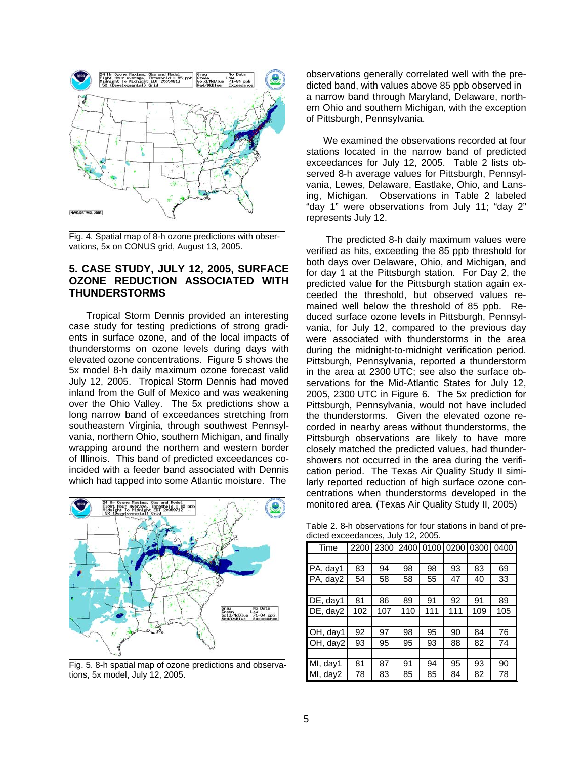

Fig. 4. Spatial map of 8-h ozone predictions with observations, 5x on CONUS grid, August 13, 2005.

# **5. CASE STUDY, JULY 12, 2005, SURFACE OZONE REDUCTION ASSOCIATED WITH THUNDERSTORMS**

Tropical Storm Dennis provided an interesting case study for testing predictions of strong gradients in surface ozone, and of the local impacts of thunderstorms on ozone levels during days with elevated ozone concentrations. Figure 5 shows the 5x model 8-h daily maximum ozone forecast valid July 12, 2005. Tropical Storm Dennis had moved inland from the Gulf of Mexico and was weakening over the Ohio Valley. The 5x predictions show a long narrow band of exceedances stretching from southeastern Virginia, through southwest Pennsylvania, northern Ohio, southern Michigan, and finally wrapping around the northern and western border of Illinois. This band of predicted exceedances coincided with a feeder band associated with Dennis which had tapped into some Atlantic moisture. The



Fig. 5. 8-h spatial map of ozone predictions and observations, 5x model, July 12, 2005.

observations generally correlated well with the predicted band, with values above 85 ppb observed in a narrow band through Maryland, Delaware, northern Ohio and southern Michigan, with the exception of Pittsburgh, Pennsylvania.

We examined the observations recorded at four stations located in the narrow band of predicted exceedances for July 12, 2005. Table 2 lists observed 8-h average values for Pittsburgh, Pennsylvania, Lewes, Delaware, Eastlake, Ohio, and Lansing, Michigan. Observations in Table 2 labeled "day 1" were observations from July 11; "day 2" represents July 12.

 The predicted 8-h daily maximum values were verified as hits, exceeding the 85 ppb threshold for both days over Delaware, Ohio, and Michigan, and for day 1 at the Pittsburgh station. For Day 2, the predicted value for the Pittsburgh station again exceeded the threshold, but observed values remained well below the threshold of 85 ppb. Reduced surface ozone levels in Pittsburgh, Pennsylvania, for July 12, compared to the previous day were associated with thunderstorms in the area during the midnight-to-midnight verification period. Pittsburgh, Pennsylvania, reported a thunderstorm in the area at 2300 UTC; see also the surface observations for the Mid-Atlantic States for July 12, 2005, 2300 UTC in Figure 6. The 5x prediction for Pittsburgh, Pennsylvania, would not have included the thunderstorms. Given the elevated ozone recorded in nearby areas without thunderstorms, the Pittsburgh observations are likely to have more closely matched the predicted values, had thundershowers not occurred in the area during the verification period. The Texas Air Quality Study II similarly reported reduction of high surface ozone concentrations when thunderstorms developed in the monitored area. (Texas Air Quality Study II, 2005)

Table 2. 8-h observations for four stations in band of predicted exceedances, July 12, 2005.

| Time     | 2200 | 2300 |     | 2400 0100 0200 0300 |     |     | 0400 |
|----------|------|------|-----|---------------------|-----|-----|------|
|          |      |      |     |                     |     |     |      |
| PA, day1 | 83   | 94   | 98  | 98                  | 93  | 83  | 69   |
| PA, day2 | 54   | 58   | 58  | 55                  | 47  | 40  | 33   |
|          |      |      |     |                     |     |     |      |
| DE, day1 | 81   | 86   | 89  | 91                  | 92  | 91  | 89   |
| DE, day2 | 102  | 107  | 110 | 111                 | 111 | 109 | 105  |
|          |      |      |     |                     |     |     |      |
| OH, day1 | 92   | 97   | 98  | 95                  | 90  | 84  | 76   |
| OH, day2 | 93   | 95   | 95  | 93                  | 88  | 82  | 74   |
|          |      |      |     |                     |     |     |      |
| MI, day1 | 81   | 87   | 91  | 94                  | 95  | 93  | 90   |
| MI, day2 | 78   | 83   | 85  | 85                  | 84  | 82  | 78   |